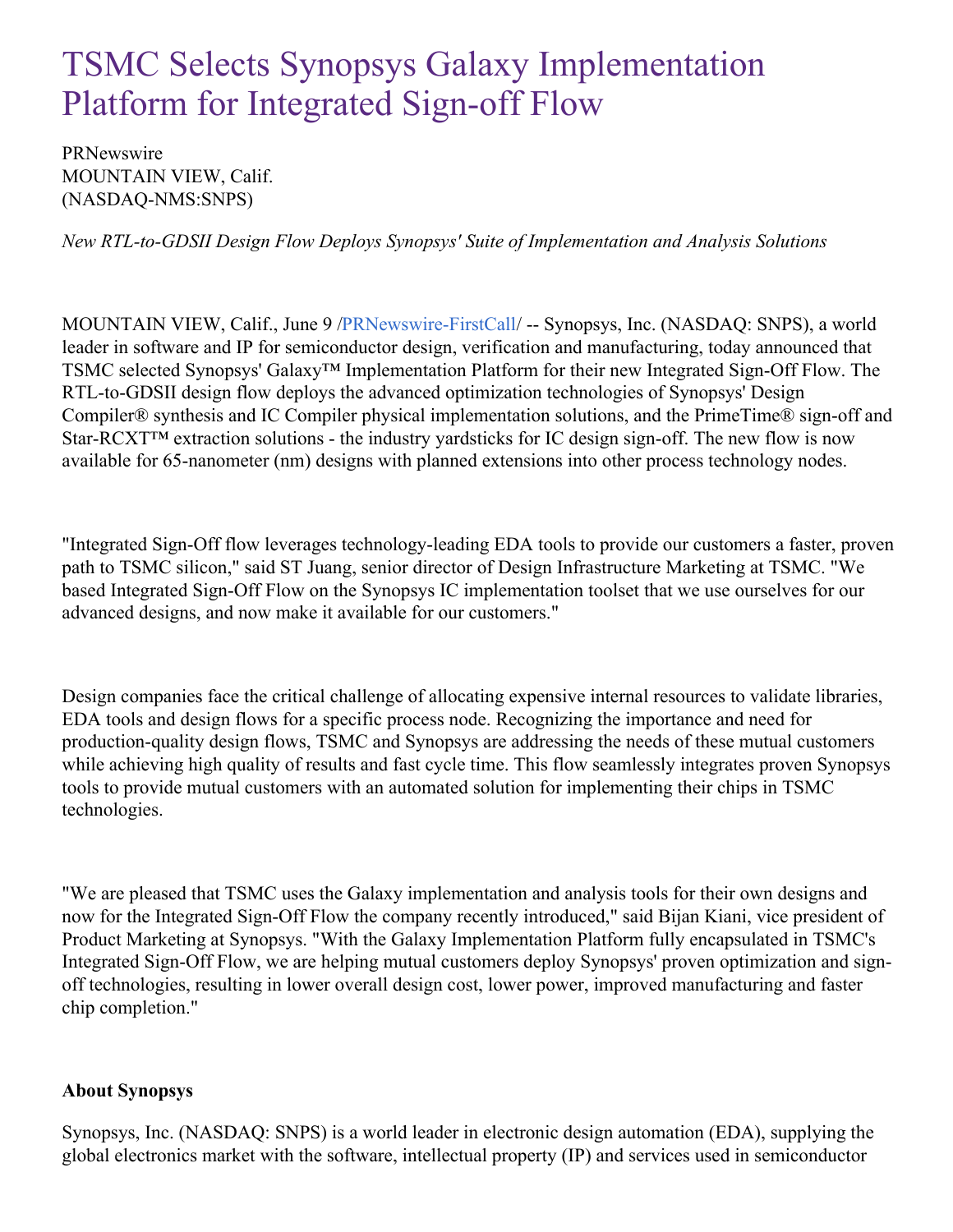## TSMC Selects Synopsys Galaxy Implementation Platform for Integrated Sign-off Flow

**PRNewswire** MOUNTAIN VIEW, Calif. (NASDAQ-NMS:SNPS)

*New RTL-to-GDSII Design Flow Deploys Synopsys' Suite of Implementation and Analysis Solutions*

MOUNTAIN VIEW, Calif., June 9 [/PRNewswire-FirstCall](http://www.prnewswire.com/)/ -- Synopsys, Inc. (NASDAQ: SNPS), a world leader in software and IP for semiconductor design, verification and manufacturing, today announced that TSMC selected Synopsys' Galaxy™ Implementation Platform for their new Integrated Sign-Off Flow. The RTL-to-GDSII design flow deploys the advanced optimization technologies of Synopsys' Design Compiler® synthesis and IC Compiler physical implementation solutions, and the PrimeTime® sign-off and Star-RCXT™ extraction solutions - the industry yardsticks for IC design sign-off. The new flow is now available for 65-nanometer (nm) designs with planned extensions into other process technology nodes.

"Integrated Sign-Off flow leverages technology-leading EDA tools to provide our customers a faster, proven path to TSMC silicon," said ST Juang, senior director of Design Infrastructure Marketing at TSMC. "We based Integrated Sign-Off Flow on the Synopsys IC implementation toolset that we use ourselves for our advanced designs, and now make it available for our customers."

Design companies face the critical challenge of allocating expensive internal resources to validate libraries, EDA tools and design flows for a specific process node. Recognizing the importance and need for production-quality design flows, TSMC and Synopsys are addressing the needs of these mutual customers while achieving high quality of results and fast cycle time. This flow seamlessly integrates proven Synopsys tools to provide mutual customers with an automated solution for implementing their chips in TSMC technologies.

"We are pleased that TSMC uses the Galaxy implementation and analysis tools for their own designs and now for the Integrated Sign-Off Flow the company recently introduced," said Bijan Kiani, vice president of Product Marketing at Synopsys. "With the Galaxy Implementation Platform fully encapsulated in TSMC's Integrated Sign-Off Flow, we are helping mutual customers deploy Synopsys' proven optimization and signoff technologies, resulting in lower overall design cost, lower power, improved manufacturing and faster chip completion."

## **About Synopsys**

Synopsys, Inc. (NASDAQ: SNPS) is a world leader in electronic design automation (EDA), supplying the global electronics market with the software, intellectual property (IP) and services used in semiconductor